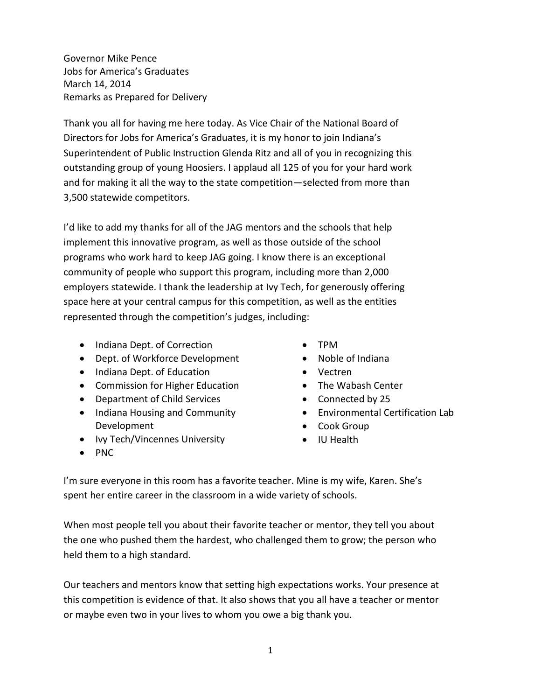Governor Mike Pence Jobs for America's Graduates March 14, 2014 Remarks as Prepared for Delivery

Thank you all for having me here today. As Vice Chair of the National Board of Directors for Jobs for America's Graduates, it is my honor to join Indiana's Superintendent of Public Instruction Glenda Ritz and all of you in recognizing this outstanding group of young Hoosiers. I applaud all 125 of you for your hard work and for making it all the way to the state competition—selected from more than 3,500 statewide competitors.

I'd like to add my thanks for all of the JAG mentors and the schools that help implement this innovative program, as well as those outside of the school programs who work hard to keep JAG going. I know there is an exceptional community of people who support this program, including more than 2,000 employers statewide. I thank the leadership at Ivy Tech, for generously offering space here at your central campus for this competition, as well as the entities represented through the competition's judges, including:

- Indiana Dept. of Correction
- Dept. of Workforce Development
- Indiana Dept. of Education
- Commission for Higher Education
- Department of Child Services
- Indiana Housing and Community Development
- Ivy Tech/Vincennes University
- $\bullet$  PNC
- TPM
- Noble of Indiana
- Vectren
- The Wabash Center
- Connected by 25
- Environmental Certification Lab
- Cook Group
- IU Health

I'm sure everyone in this room has a favorite teacher. Mine is my wife, Karen. She's spent her entire career in the classroom in a wide variety of schools.

When most people tell you about their favorite teacher or mentor, they tell you about the one who pushed them the hardest, who challenged them to grow; the person who held them to a high standard.

Our teachers and mentors know that setting high expectations works. Your presence at this competition is evidence of that. It also shows that you all have a teacher or mentor or maybe even two in your lives to whom you owe a big thank you.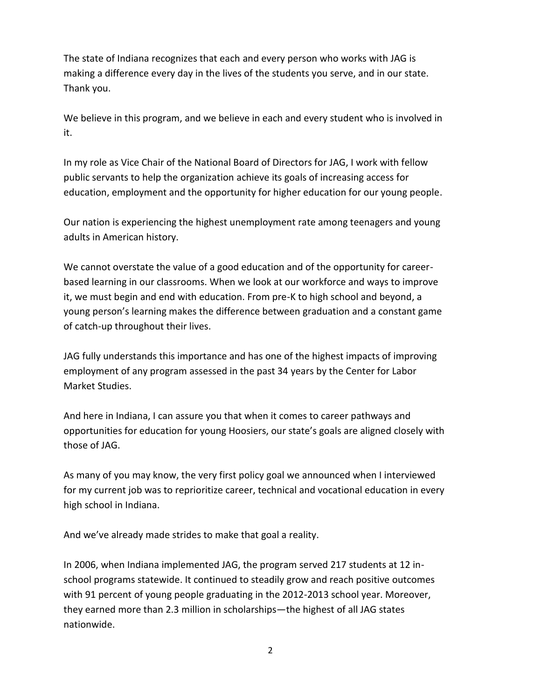The state of Indiana recognizes that each and every person who works with JAG is making a difference every day in the lives of the students you serve, and in our state. Thank you.

We believe in this program, and we believe in each and every student who is involved in it.

In my role as Vice Chair of the National Board of Directors for JAG, I work with fellow public servants to help the organization achieve its goals of increasing access for education, employment and the opportunity for higher education for our young people.

Our nation is experiencing the highest unemployment rate among teenagers and young adults in American history.

We cannot overstate the value of a good education and of the opportunity for careerbased learning in our classrooms. When we look at our workforce and ways to improve it, we must begin and end with education. From pre-K to high school and beyond, a young person's learning makes the difference between graduation and a constant game of catch-up throughout their lives.

JAG fully understands this importance and has one of the highest impacts of improving employment of any program assessed in the past 34 years by the Center for Labor Market Studies.

And here in Indiana, I can assure you that when it comes to career pathways and opportunities for education for young Hoosiers, our state's goals are aligned closely with those of JAG.

As many of you may know, the very first policy goal we announced when I interviewed for my current job was to reprioritize career, technical and vocational education in every high school in Indiana.

And we've already made strides to make that goal a reality.

In 2006, when Indiana implemented JAG, the program served 217 students at 12 inschool programs statewide. It continued to steadily grow and reach positive outcomes with 91 percent of young people graduating in the 2012-2013 school year. Moreover, they earned more than 2.3 million in scholarships—the highest of all JAG states nationwide.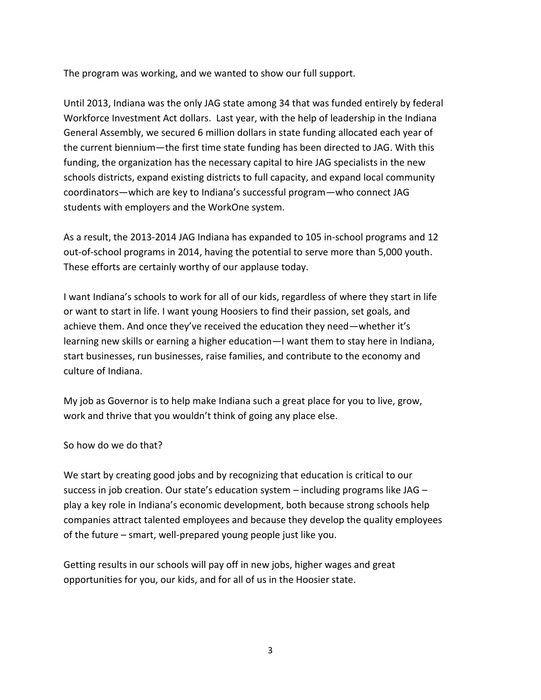The program was working, and we wanted to show our full support.

Until 2013, Indiana was the only JAG state among 34 that was funded entirely by federal Workforce Investment Act dollars. Last year, with the help of leadership in the Indiana General Assembly, we secured 6 million dollars in state funding allocated each year of the current biennium—the first time state funding has been directed to JAG. With this funding, the organization has the necessary capital to hire JAG specialists in the new schools districts, expand existing districts to full capacity, and expand local community coordinators—which are key to Indiana's successful program—who connect JAG students with employers and the WorkOne system.

As a result, the 2013-2014 JAG Indiana has expanded to 105 in-school programs and 12 out-of-school programs in 2014, having the potential to serve more than 5,000 youth. These efforts are certainly worthy of our applause today.

I want Indiana's schools to work for all of our kids, regardless of where they start in life or want to start in life. I want young Hoosiers to find their passion, set goals, and achieve them. And once they've received the education they need—whether it's learning new skills or earning a higher education—I want them to stay here in Indiana, start businesses, run businesses, raise families, and contribute to the economy and culture of Indiana.

My job as Governor is to help make Indiana such a great place for you to live, grow, work and thrive that you wouldn't think of going any place else.

So how do we do that?

We start by creating good jobs and by recognizing that education is critical to our success in job creation. Our state's education system – including programs like JAG – play a key role in Indiana's economic development, both because strong schools help companies attract talented employees and because they develop the quality employees of the future – smart, well-prepared young people just like you.

Getting results in our schools will pay off in new jobs, higher wages and great opportunities for you, our kids, and for all of us in the Hoosier state.